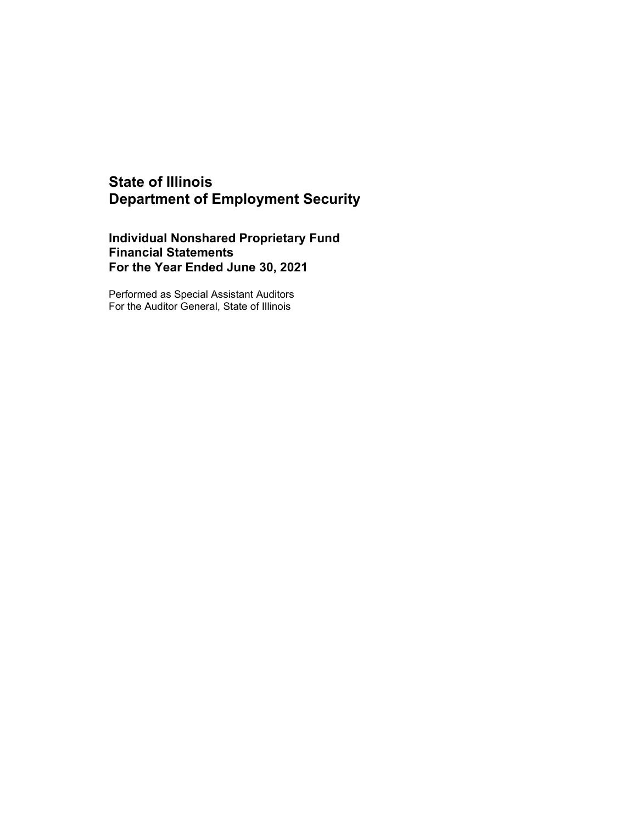# **Individual Nonshared Proprietary Fund Financial Statements For the Year Ended June 30, 2021**

Performed as Special Assistant Auditors For the Auditor General, State of Illinois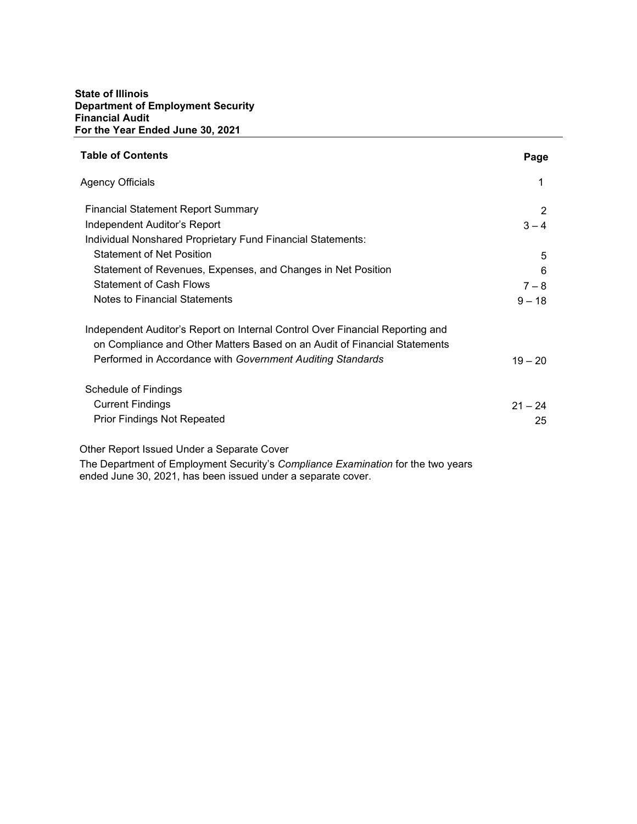### **State of Illinois Department of Employment Security Financial Audit For the Year Ended June 30, 2021**

| <b>Table of Contents</b>                                                      | Page      |
|-------------------------------------------------------------------------------|-----------|
| <b>Agency Officials</b>                                                       | 1         |
| <b>Financial Statement Report Summary</b>                                     | 2         |
| Independent Auditor's Report                                                  | $3 - 4$   |
| Individual Nonshared Proprietary Fund Financial Statements:                   |           |
| <b>Statement of Net Position</b>                                              | 5         |
| Statement of Revenues, Expenses, and Changes in Net Position                  | 6         |
| <b>Statement of Cash Flows</b>                                                | $7 - 8$   |
| Notes to Financial Statements                                                 | $9 - 18$  |
| Independent Auditor's Report on Internal Control Over Financial Reporting and |           |
| on Compliance and Other Matters Based on an Audit of Financial Statements     |           |
| Performed in Accordance with Government Auditing Standards                    | $19 - 20$ |
| Schedule of Findings                                                          |           |
| <b>Current Findings</b>                                                       | $21 - 24$ |
| <b>Prior Findings Not Repeated</b>                                            | 25        |
| Other Depart Louisd Linder a Caparato Cougr                                   |           |

Other Report Issued Under a Separate Cover

The Department of Employment Security's *Compliance Examination* for the two years ended June 30, 2021, has been issued under a separate cover.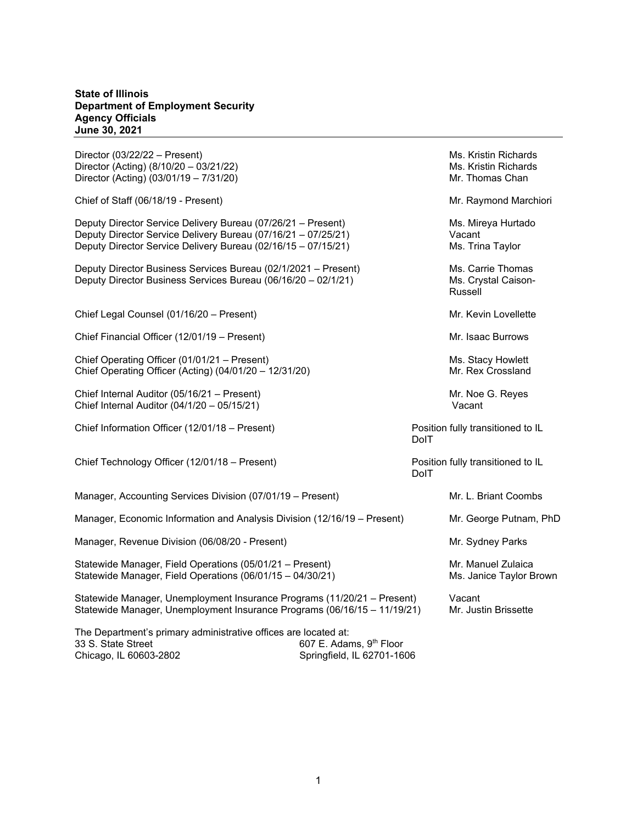#### **State of Illinois Department of Employment Security Agency Officials June 30, 2021**

Director (03/22/22 – Present)<br>Director (Acting) (8/10/20 – 03/21/22) Ms. Kristin Richards Director (Acting) (8/10/20 – 03/21/22) Ms. Kristin Richards Director (Acting)  $(03/01/19 - 7/31/20)$ 

Chief of Staff (06/18/19 - Present) and Chief of Staff (06/18/19 - Present) and Chief of Staff (06/18/19 - Present)

Deputy Director Service Delivery Bureau (07/26/21 – Present) Ms. Mireya Hurtado<br>Deputy Director Service Delivery Bureau (07/16/21 – 07/25/21) Vacant Vacant Deputy Director Service Delivery Bureau (07/16/21 – 07/25/21) Vacant<br>Deputy Director Service Delivery Bureau (02/16/15 – 07/15/21) Ms. Trina Taylor Deputy Director Service Delivery Bureau (02/16/15 – 07/15/21)

Deputy Director Business Services Bureau (02/1/2021 – Present) Ms. Carrie Thomas Deputy Director Business Services Bureau (06/16/20 - 02/1/21) Ms. Crystal Caison-

Chief Legal Counsel (01/16/20 – Present) Mr. Kevin Lovellette

Chief Financial Officer (12/01/19 – Present) Mr. Isaac Burrows

Chief Operating Officer (01/01/21 – Present)<br>Chief Operating Officer (Acting) (04/01/20 – 12/31/20) Mr. Rex Crossland Chief Operating Officer (Acting)  $(04/01/20 - 12/31/20)$ 

Chief Internal Auditor (05/16/21 – Present)<br>
Chief Internal Auditor (04/1/20 – 05/15/21)<br>
Vacant Chief Internal Auditor  $(04/1/20 - 05/15/21)$ 

Chief Information Officer (12/01/18 – Present) Position fully transitioned to IL

Chief Technology Officer (12/01/18 – Present) Position fully transitioned to IL

Manager, Accounting Services Division (07/01/19 – Present) Mr. L. Briant Coombs

Manager, Economic Information and Analysis Division (12/16/19 – Present) Mr. George Putnam, PhD

Manager, Revenue Division (06/08/20 - Present) Manager, Revenue Parks

Statewide Manager, Field Operations (05/01/21 – Present) Mr. Manuel Zulaica Statewide Manager, Field Operations (06/01/15 – 04/30/21) Ms. Janice Taylor Brown

Statewide Manager, Unemployment Insurance Programs (11/20/21 – Present) Vacant Statewide Manager, Unemployment Insurance Programs (06/16/15 – 11/19/21) Mr. Justin Brissette

The Department's primary administrative offices are located at:<br>33 S. State Street 607 E. Adar 33 S. State Street 607 E. Adams, 9th Floor Springfield, IL 62701-1606

Russell

DoIT

DoIT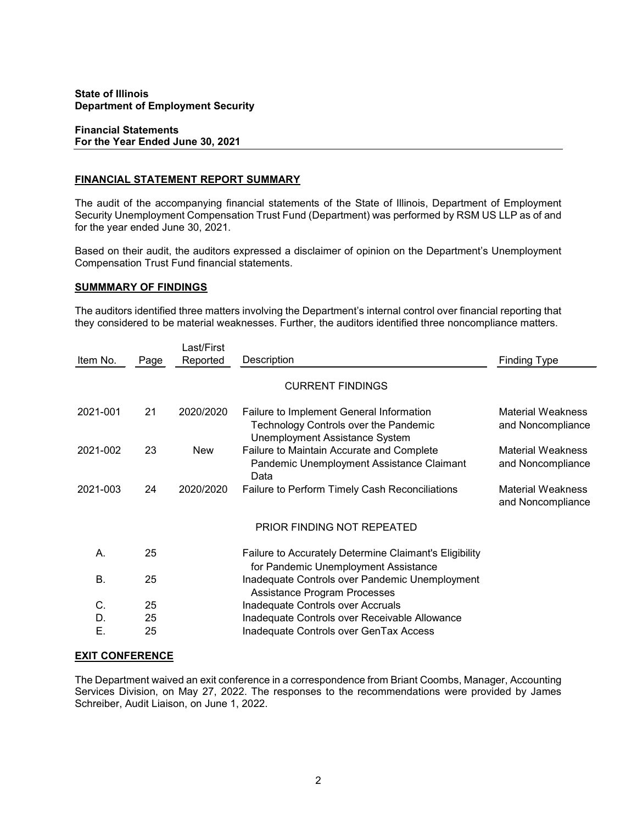## **Financial Statements For the Year Ended June 30, 2021**

# **FINANCIAL STATEMENT REPORT SUMMARY**

The audit of the accompanying financial statements of the State of Illinois, Department of Employment Security Unemployment Compensation Trust Fund (Department) was performed by RSM US LLP as of and for the year ended June 30, 2021.

Based on their audit, the auditors expressed a disclaimer of opinion on the Department's Unemployment Compensation Trust Fund financial statements.

## **SUMMMARY OF FINDINGS**

The auditors identified three matters involving the Department's internal control over financial reporting that they considered to be material weaknesses. Further, the auditors identified three noncompliance matters.

| Item No. | Page | Last/First<br>Reported | Description                                                                                                         | <b>Finding Type</b>                           |
|----------|------|------------------------|---------------------------------------------------------------------------------------------------------------------|-----------------------------------------------|
|          |      |                        | <b>CURRENT FINDINGS</b>                                                                                             |                                               |
| 2021-001 | 21   | 2020/2020              | Failure to Implement General Information<br>Technology Controls over the Pandemic<br>Unemployment Assistance System | Material Weakness<br>and Noncompliance        |
| 2021-002 | 23   | <b>New</b>             | Failure to Maintain Accurate and Complete<br>Pandemic Unemployment Assistance Claimant<br>Data                      | Material Weakness<br>and Noncompliance        |
| 2021-003 | 24   | 2020/2020              | Failure to Perform Timely Cash Reconciliations                                                                      | <b>Material Weakness</b><br>and Noncompliance |
|          |      |                        | PRIOR FINDING NOT REPEATED                                                                                          |                                               |
| А.       | 25   |                        | Failure to Accurately Determine Claimant's Eligibility<br>for Pandemic Unemployment Assistance                      |                                               |
| Β.       | 25   |                        | Inadequate Controls over Pandemic Unemployment<br><b>Assistance Program Processes</b>                               |                                               |
| C.       | 25   |                        | Inadequate Controls over Accruals                                                                                   |                                               |
| D.       | 25   |                        | Inadequate Controls over Receivable Allowance                                                                       |                                               |
| Ε.       | 25   |                        | Inadequate Controls over GenTax Access                                                                              |                                               |

## **EXIT CONFERENCE**

The Department waived an exit conference in a correspondence from Briant Coombs, Manager, Accounting Services Division, on May 27, 2022. The responses to the recommendations were provided by James Schreiber, Audit Liaison, on June 1, 2022.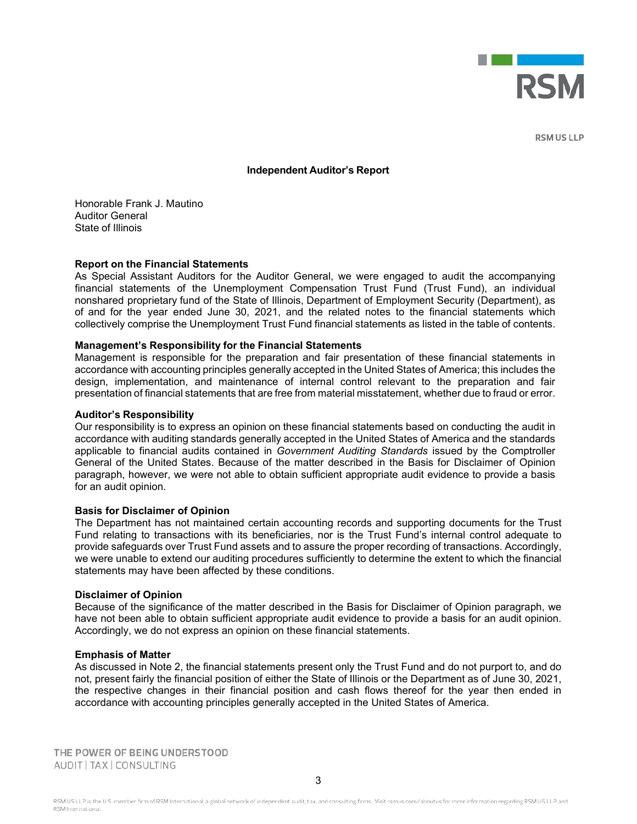

**RSM US LLP** 

#### **Independent Auditor's Report**

Honorable Frank J. Mautino Auditor General State of Illinois

#### **Report on the Financial Statements**

As Special Assistant Auditors for the Auditor General, we were engaged to audit the accompanying financial statements of the Unemployment Compensation Trust Fund (Trust Fund), an individual nonshared proprietary fund of the State of Illinois, Department of Employment Security (Department), as of and for the year ended June 30, 2021, and the related notes to the financial statements which collectively comprise the Unemployment Trust Fund financial statements as listed in the table of contents.

#### **Management's Responsibility for the Financial Statements**

Management is responsible for the preparation and fair presentation of these financial statements in accordance with accounting principles generally accepted in the United States of America; this includes the design, implementation, and maintenance of internal control relevant to the preparation and fair presentation of financial statements that are free from material misstatement, whether due to fraud or error.

#### **Auditor's Responsibility**

Our responsibility is to express an opinion on these financial statements based on conducting the audit in accordance with auditing standards generally accepted in the United States of America and the standards applicable to financial audits contained in *Government Auditing Standards* issued by the Comptroller General of the United States. Because of the matter described in the Basis for Disclaimer of Opinion paragraph, however, we were not able to obtain sufficient appropriate audit evidence to provide a basis for an audit opinion.

#### **Basis for Disclaimer of Opinion**

The Department has not maintained certain accounting records and supporting documents for the Trust Fund relating to transactions with its beneficiaries, nor is the Trust Fund's internal control adequate to provide safeguards over Trust Fund assets and to assure the proper recording of transactions. Accordingly, we were unable to extend our auditing procedures sufficiently to determine the extent to which the financial statements may have been affected by these conditions.

#### **Disclaimer of Opinion**

Because of the significance of the matter described in the Basis for Disclaimer of Opinion paragraph, we have not been able to obtain sufficient appropriate audit evidence to provide a basis for an audit opinion. Accordingly, we do not express an opinion on these financial statements.

#### **Emphasis of Matter**

As discussed in Note 2, the financial statements present only the Trust Fund and do not purport to, and do not, present fairly the financial position of either the State of Illinois or the Department as of June 30, 2021, the respective changes in their financial position and cash flows thereof for the year then ended in accordance with accounting principles generally accepted in the United States of America.

THE POWER OF BEING UNDERSTOOD AUDIT | TAX | CONSULTING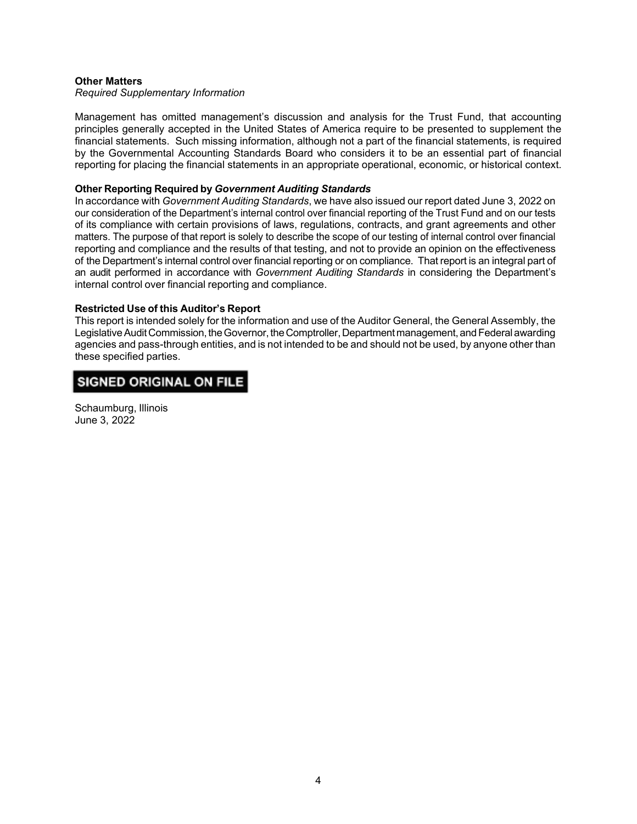## **Other Matters**

#### *Required Supplementary Information*

Management has omitted management's discussion and analysis for the Trust Fund, that accounting principles generally accepted in the United States of America require to be presented to supplement the financial statements. Such missing information, although not a part of the financial statements, is required by the Governmental Accounting Standards Board who considers it to be an essential part of financial reporting for placing the financial statements in an appropriate operational, economic, or historical context.

#### **Other Reporting Required by** *Government Auditing Standards*

In accordance with *Government Auditing Standards*, we have also issued our report dated June 3, 2022 on our consideration of the Department's internal control over financial reporting of the Trust Fund and on our tests of its compliance with certain provisions of laws, regulations, contracts, and grant agreements and other matters. The purpose of that report is solely to describe the scope of our testing of internal control over financial reporting and compliance and the results of that testing, and not to provide an opinion on the effectiveness of the Department's internal control over financial reporting or on compliance. That report is an integral part of an audit performed in accordance with *Government Auditing Standards* in considering the Department's internal control over financial reporting and compliance.

## **Restricted Use of this Auditor's Report**

This report is intended solely for the information and use of the Auditor General, the General Assembly, the Legislative Audit Commission, the Governor, the Comptroller, Department management, and Federal awarding agencies and pass-through entities, and is not intended to be and should not be used, by anyone other than these specified parties.

# **SIGNED ORIGINAL ON FILE**

Schaumburg, Illinois June 3, 2022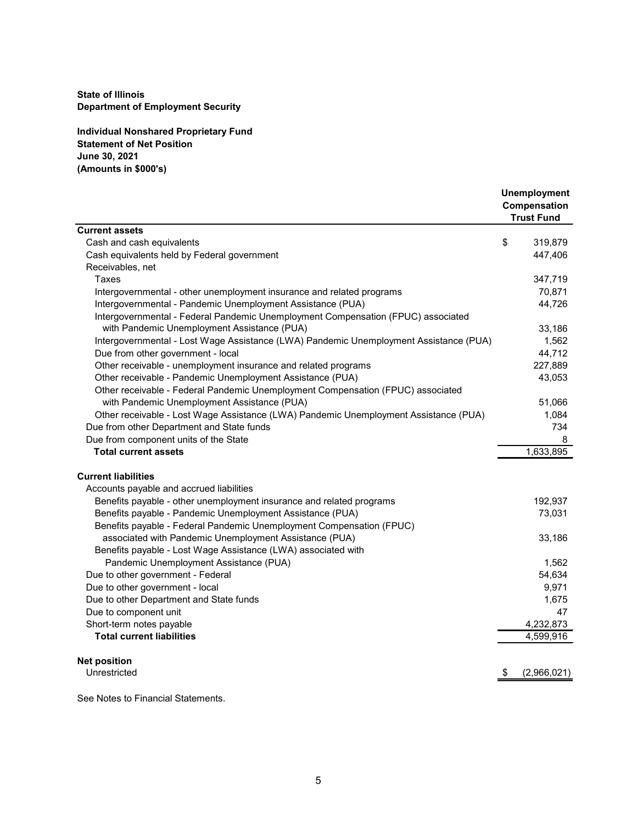**Individual Nonshared Proprietary Fund Statement of Net Position June 30, 2021 (Amounts in \$000's)**

|                                                                                       | <b>Unemployment</b><br>Compensation<br><b>Trust Fund</b> |
|---------------------------------------------------------------------------------------|----------------------------------------------------------|
| <b>Current assets</b>                                                                 |                                                          |
| Cash and cash equivalents                                                             | \$<br>319,879                                            |
| Cash equivalents held by Federal government                                           | 447,406                                                  |
| Receivables, net                                                                      |                                                          |
| Taxes                                                                                 | 347,719                                                  |
| Intergovernmental - other unemployment insurance and related programs                 | 70,871                                                   |
| Intergovernmental - Pandemic Unemployment Assistance (PUA)                            | 44,726                                                   |
| Intergovernmental - Federal Pandemic Unemployment Compensation (FPUC) associated      |                                                          |
| with Pandemic Unemployment Assistance (PUA)                                           | 33,186                                                   |
| Intergovernmental - Lost Wage Assistance (LWA) Pandemic Unemployment Assistance (PUA) | 1,562                                                    |
| Due from other government - local                                                     | 44,712                                                   |
| Other receivable - unemployment insurance and related programs                        | 227,889                                                  |
| Other receivable - Pandemic Unemployment Assistance (PUA)                             | 43,053                                                   |
| Other receivable - Federal Pandemic Unemployment Compensation (FPUC) associated       |                                                          |
| with Pandemic Unemployment Assistance (PUA)                                           | 51,066                                                   |
| Other receivable - Lost Wage Assistance (LWA) Pandemic Unemployment Assistance (PUA)  | 1,084                                                    |
| Due from other Department and State funds                                             | 734                                                      |
| Due from component units of the State                                                 | 8                                                        |
| <b>Total current assets</b>                                                           | 1,633,895                                                |
| <b>Current liabilities</b>                                                            |                                                          |
| Accounts payable and accrued liabilities                                              |                                                          |
| Benefits payable - other unemployment insurance and related programs                  | 192,937                                                  |
| Benefits payable - Pandemic Unemployment Assistance (PUA)                             | 73,031                                                   |
| Benefits payable - Federal Pandemic Unemployment Compensation (FPUC)                  |                                                          |
| associated with Pandemic Unemployment Assistance (PUA)                                | 33,186                                                   |
| Benefits payable - Lost Wage Assistance (LWA) associated with                         |                                                          |
| Pandemic Unemployment Assistance (PUA)                                                | 1,562                                                    |
| Due to other government - Federal                                                     | 54,634                                                   |
| Due to other government - local                                                       | 9,971                                                    |
| Due to other Department and State funds                                               | 1,675                                                    |
| Due to component unit                                                                 | 47                                                       |
| Short-term notes payable                                                              | 4,232,873                                                |
| <b>Total current liabilities</b>                                                      | 4,599,916                                                |
| <b>Net position</b>                                                                   |                                                          |
| Unrestricted                                                                          | (2,966,021)                                              |
|                                                                                       |                                                          |

See Notes to Financial Statements.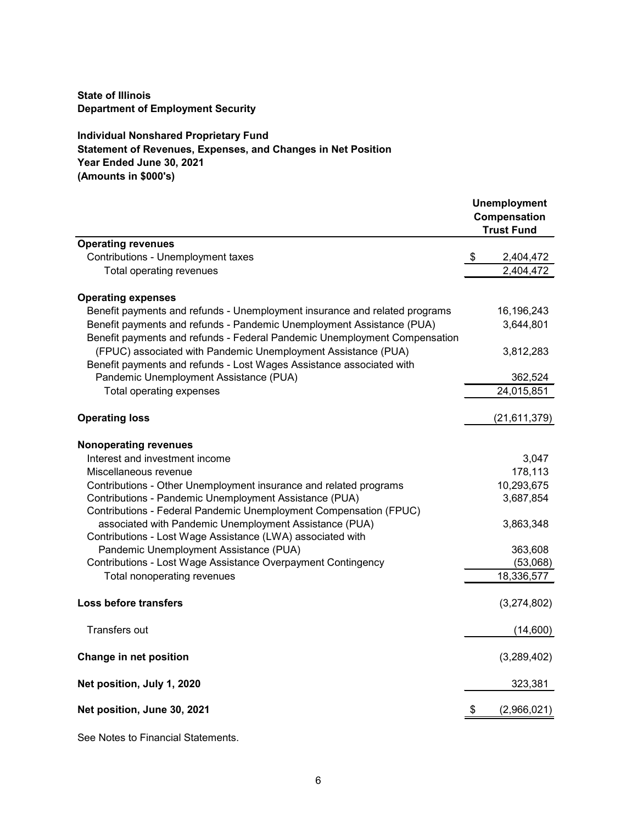**Individual Nonshared Proprietary Fund Statement of Revenues, Expenses, and Changes in Net Position Year Ended June 30, 2021 (Amounts in \$000's)**

|                                                                                                                      | <b>Unemployment</b><br>Compensation<br><b>Trust Fund</b> |
|----------------------------------------------------------------------------------------------------------------------|----------------------------------------------------------|
| <b>Operating revenues</b>                                                                                            |                                                          |
| Contributions - Unemployment taxes                                                                                   | \$<br>2,404,472                                          |
| Total operating revenues                                                                                             | 2,404,472                                                |
| <b>Operating expenses</b>                                                                                            |                                                          |
| Benefit payments and refunds - Unemployment insurance and related programs                                           | 16,196,243                                               |
| Benefit payments and refunds - Pandemic Unemployment Assistance (PUA)                                                | 3,644,801                                                |
| Benefit payments and refunds - Federal Pandemic Unemployment Compensation                                            |                                                          |
| (FPUC) associated with Pandemic Unemployment Assistance (PUA)                                                        | 3,812,283                                                |
| Benefit payments and refunds - Lost Wages Assistance associated with                                                 |                                                          |
| Pandemic Unemployment Assistance (PUA)                                                                               | 362,524                                                  |
| Total operating expenses                                                                                             | 24,015,851                                               |
| <b>Operating loss</b>                                                                                                | (21, 611, 379)                                           |
|                                                                                                                      |                                                          |
| <b>Nonoperating revenues</b>                                                                                         |                                                          |
| Interest and investment income                                                                                       | 3,047                                                    |
| Miscellaneous revenue                                                                                                | 178,113                                                  |
| Contributions - Other Unemployment insurance and related programs                                                    | 10,293,675                                               |
| Contributions - Pandemic Unemployment Assistance (PUA)                                                               | 3,687,854                                                |
| Contributions - Federal Pandemic Unemployment Compensation (FPUC)                                                    |                                                          |
| associated with Pandemic Unemployment Assistance (PUA)<br>Contributions - Lost Wage Assistance (LWA) associated with | 3,863,348                                                |
| Pandemic Unemployment Assistance (PUA)                                                                               | 363,608                                                  |
| Contributions - Lost Wage Assistance Overpayment Contingency                                                         | (53,068)                                                 |
| Total nonoperating revenues                                                                                          | 18,336,577                                               |
|                                                                                                                      |                                                          |
| <b>Loss before transfers</b>                                                                                         | (3,274,802)                                              |
|                                                                                                                      |                                                          |
| Transfers out                                                                                                        | (14,600)                                                 |
| Change in net position                                                                                               | (3,289,402)                                              |
| Net position, July 1, 2020                                                                                           | 323,381                                                  |
| Net position, June 30, 2021                                                                                          | (2,966,021)                                              |
|                                                                                                                      |                                                          |

See Notes to Financial Statements.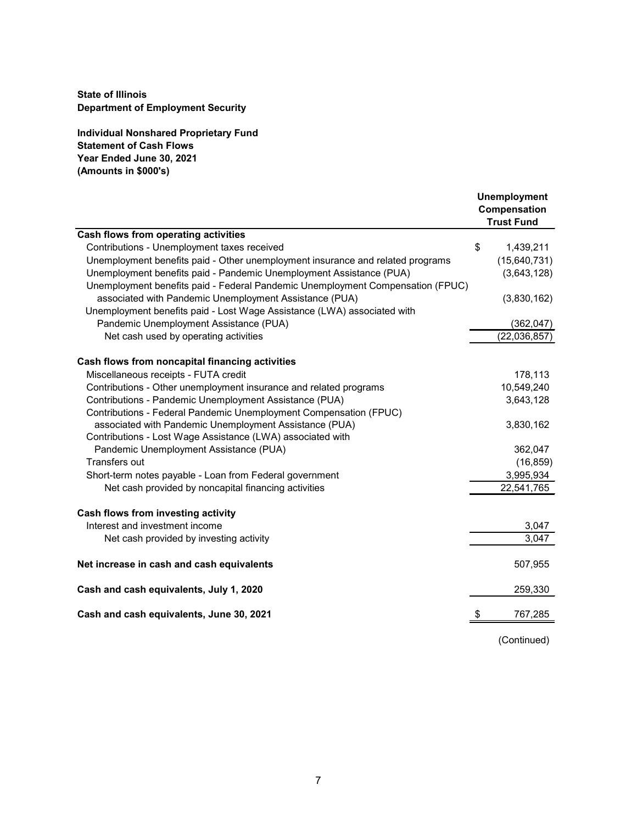**Individual Nonshared Proprietary Fund Statement of Cash Flows Year Ended June 30, 2021 (Amounts in \$000's)**

|                                                                                | <b>Unemployment</b><br>Compensation<br><b>Trust Fund</b> |
|--------------------------------------------------------------------------------|----------------------------------------------------------|
| Cash flows from operating activities                                           |                                                          |
| Contributions - Unemployment taxes received                                    | \$<br>1,439,211                                          |
| Unemployment benefits paid - Other unemployment insurance and related programs | (15,640,731)                                             |
| Unemployment benefits paid - Pandemic Unemployment Assistance (PUA)            | (3,643,128)                                              |
| Unemployment benefits paid - Federal Pandemic Unemployment Compensation (FPUC) |                                                          |
| associated with Pandemic Unemployment Assistance (PUA)                         | (3,830,162)                                              |
| Unemployment benefits paid - Lost Wage Assistance (LWA) associated with        |                                                          |
| Pandemic Unemployment Assistance (PUA)                                         | (362, 047)                                               |
| Net cash used by operating activities                                          | (22,036,857)                                             |
| Cash flows from noncapital financing activities                                |                                                          |
| Miscellaneous receipts - FUTA credit                                           | 178,113                                                  |
| Contributions - Other unemployment insurance and related programs              | 10,549,240                                               |
| Contributions - Pandemic Unemployment Assistance (PUA)                         | 3,643,128                                                |
| Contributions - Federal Pandemic Unemployment Compensation (FPUC)              |                                                          |
| associated with Pandemic Unemployment Assistance (PUA)                         | 3,830,162                                                |
| Contributions - Lost Wage Assistance (LWA) associated with                     |                                                          |
| Pandemic Unemployment Assistance (PUA)                                         | 362,047                                                  |
| Transfers out                                                                  | (16, 859)                                                |
| Short-term notes payable - Loan from Federal government                        | 3,995,934                                                |
| Net cash provided by noncapital financing activities                           | 22,541,765                                               |
| Cash flows from investing activity                                             |                                                          |
| Interest and investment income                                                 | 3,047                                                    |
| Net cash provided by investing activity                                        | 3,047                                                    |
| Net increase in cash and cash equivalents                                      | 507,955                                                  |
| Cash and cash equivalents, July 1, 2020                                        | 259,330                                                  |
| Cash and cash equivalents, June 30, 2021                                       | 767,285                                                  |

(Continued)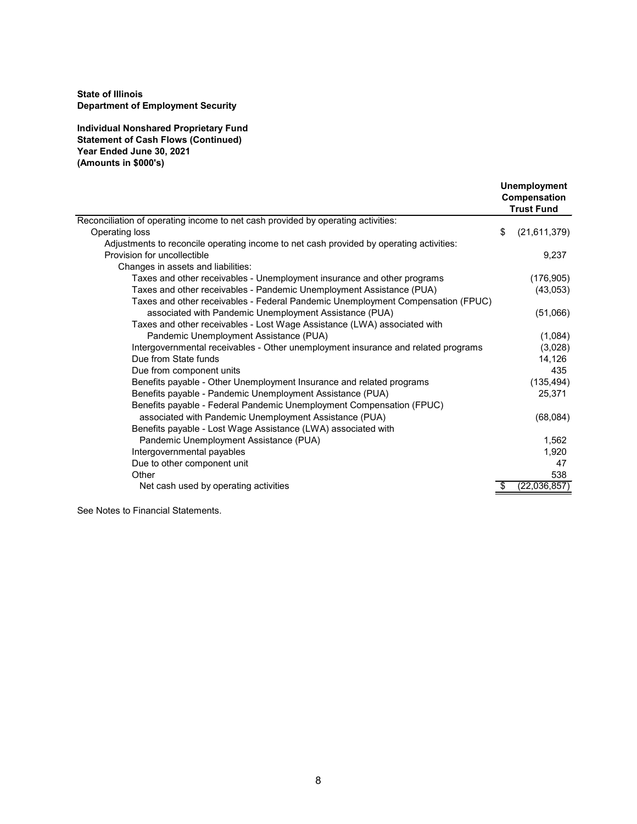**Individual Nonshared Proprietary Fund Statement of Cash Flows (Continued) Year Ended June 30, 2021 (Amounts in \$000's)**

|                                                                                         | <b>Unemployment</b><br>Compensation<br><b>Trust Fund</b> |
|-----------------------------------------------------------------------------------------|----------------------------------------------------------|
| Reconciliation of operating income to net cash provided by operating activities:        |                                                          |
| Operating loss                                                                          | \$<br>(21,611,379)                                       |
| Adjustments to reconcile operating income to net cash provided by operating activities: |                                                          |
| Provision for uncollectible                                                             | 9,237                                                    |
| Changes in assets and liabilities:                                                      |                                                          |
| Taxes and other receivables - Unemployment insurance and other programs                 | (176, 905)                                               |
| Taxes and other receivables - Pandemic Unemployment Assistance (PUA)                    | (43,053)                                                 |
| Taxes and other receivables - Federal Pandemic Unemployment Compensation (FPUC)         |                                                          |
| associated with Pandemic Unemployment Assistance (PUA)                                  | (51,066)                                                 |
| Taxes and other receivables - Lost Wage Assistance (LWA) associated with                |                                                          |
| Pandemic Unemployment Assistance (PUA)                                                  | (1,084)                                                  |
| Intergovernmental receivables - Other unemployment insurance and related programs       | (3,028)                                                  |
| Due from State funds                                                                    | 14,126                                                   |
| Due from component units                                                                | 435                                                      |
| Benefits payable - Other Unemployment Insurance and related programs                    | (135, 494)                                               |
| Benefits payable - Pandemic Unemployment Assistance (PUA)                               | 25,371                                                   |
| Benefits payable - Federal Pandemic Unemployment Compensation (FPUC)                    |                                                          |
| associated with Pandemic Unemployment Assistance (PUA)                                  | (68,084)                                                 |
| Benefits payable - Lost Wage Assistance (LWA) associated with                           |                                                          |
| Pandemic Unemployment Assistance (PUA)                                                  | 1,562                                                    |
| Intergovernmental payables                                                              | 1,920                                                    |
| Due to other component unit                                                             | 47                                                       |
| Other                                                                                   | 538                                                      |
| Net cash used by operating activities                                                   | \$<br>(22,036,857)                                       |

See Notes to Financial Statements.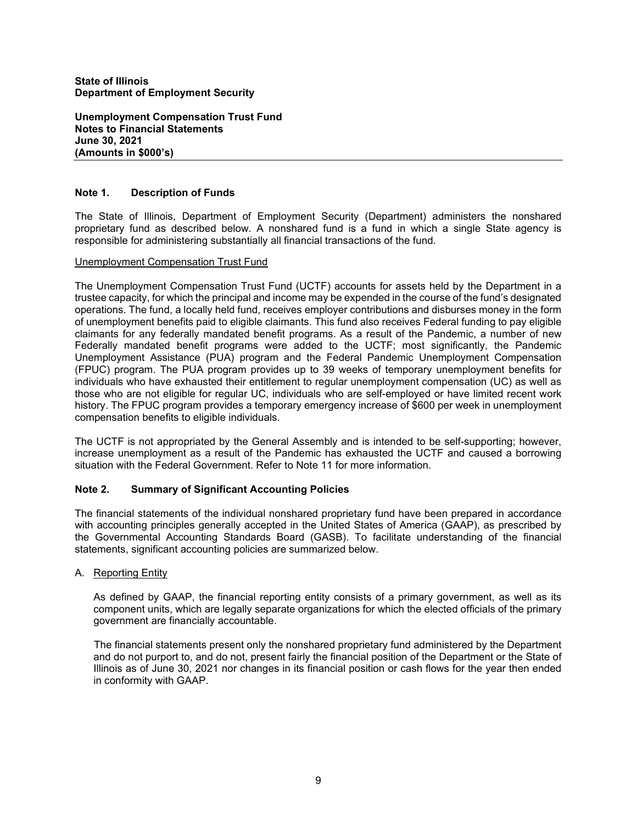**Unemployment Compensation Trust Fund Notes to Financial Statements June 30, 2021 (Amounts in \$000's)**

# **Note 1. Description of Funds**

The State of Illinois, Department of Employment Security (Department) administers the nonshared proprietary fund as described below. A nonshared fund is a fund in which a single State agency is responsible for administering substantially all financial transactions of the fund.

# Unemployment Compensation Trust Fund

The Unemployment Compensation Trust Fund (UCTF) accounts for assets held by the Department in a trustee capacity, for which the principal and income may be expended in the course of the fund's designated operations. The fund, a locally held fund, receives employer contributions and disburses money in the form of unemployment benefits paid to eligible claimants. This fund also receives Federal funding to pay eligible claimants for any federally mandated benefit programs. As a result of the Pandemic, a number of new Federally mandated benefit programs were added to the UCTF; most significantly, the Pandemic Unemployment Assistance (PUA) program and the Federal Pandemic Unemployment Compensation (FPUC) program. The PUA program provides up to 39 weeks of temporary unemployment benefits for individuals who have exhausted their entitlement to regular unemployment compensation (UC) as well as those who are not eligible for regular UC, individuals who are self-employed or have limited recent work history. The FPUC program provides a temporary emergency increase of \$600 per week in unemployment compensation benefits to eligible individuals.

The UCTF is not appropriated by the General Assembly and is intended to be self-supporting; however, increase unemployment as a result of the Pandemic has exhausted the UCTF and caused a borrowing situation with the Federal Government. Refer to Note 11 for more information.

# **Note 2. Summary of Significant Accounting Policies**

The financial statements of the individual nonshared proprietary fund have been prepared in accordance with accounting principles generally accepted in the United States of America (GAAP), as prescribed by the Governmental Accounting Standards Board (GASB). To facilitate understanding of the financial statements, significant accounting policies are summarized below.

# A. Reporting Entity

As defined by GAAP, the financial reporting entity consists of a primary government, as well as its component units, which are legally separate organizations for which the elected officials of the primary government are financially accountable.

The financial statements present only the nonshared proprietary fund administered by the Department and do not purport to, and do not, present fairly the financial position of the Department or the State of Illinois as of June 30, 2021 nor changes in its financial position or cash flows for the year then ended in conformity with GAAP.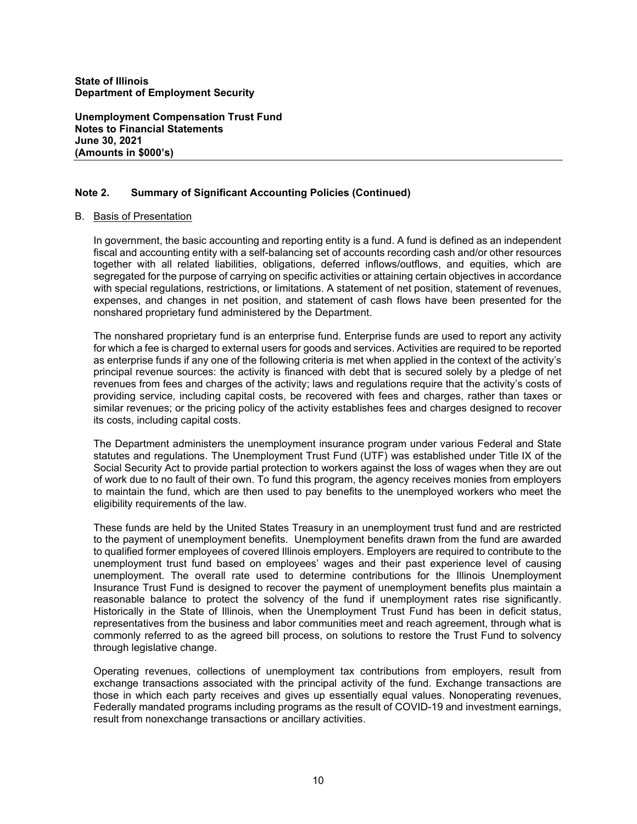**Unemployment Compensation Trust Fund Notes to Financial Statements June 30, 2021 (Amounts in \$000's)**

# **Note 2. Summary of Significant Accounting Policies (Continued)**

# B. Basis of Presentation

In government, the basic accounting and reporting entity is a fund. A fund is defined as an independent fiscal and accounting entity with a self-balancing set of accounts recording cash and/or other resources together with all related liabilities, obligations, deferred inflows/outflows, and equities, which are segregated for the purpose of carrying on specific activities or attaining certain objectives in accordance with special regulations, restrictions, or limitations. A statement of net position, statement of revenues, expenses, and changes in net position, and statement of cash flows have been presented for the nonshared proprietary fund administered by the Department.

The nonshared proprietary fund is an enterprise fund. Enterprise funds are used to report any activity for which a fee is charged to external users for goods and services. Activities are required to be reported as enterprise funds if any one of the following criteria is met when applied in the context of the activity's principal revenue sources: the activity is financed with debt that is secured solely by a pledge of net revenues from fees and charges of the activity; laws and regulations require that the activity's costs of providing service, including capital costs, be recovered with fees and charges, rather than taxes or similar revenues; or the pricing policy of the activity establishes fees and charges designed to recover its costs, including capital costs.

The Department administers the unemployment insurance program under various Federal and State statutes and regulations. The Unemployment Trust Fund (UTF) was established under Title IX of the Social Security Act to provide partial protection to workers against the loss of wages when they are out of work due to no fault of their own. To fund this program, the agency receives monies from employers to maintain the fund, which are then used to pay benefits to the unemployed workers who meet the eligibility requirements of the law.

These funds are held by the United States Treasury in an unemployment trust fund and are restricted to the payment of unemployment benefits. Unemployment benefits drawn from the fund are awarded to qualified former employees of covered Illinois employers. Employers are required to contribute to the unemployment trust fund based on employees' wages and their past experience level of causing unemployment. The overall rate used to determine contributions for the Illinois Unemployment Insurance Trust Fund is designed to recover the payment of unemployment benefits plus maintain a reasonable balance to protect the solvency of the fund if unemployment rates rise significantly. Historically in the State of Illinois, when the Unemployment Trust Fund has been in deficit status, representatives from the business and labor communities meet and reach agreement, through what is commonly referred to as the agreed bill process, on solutions to restore the Trust Fund to solvency through legislative change.

Operating revenues, collections of unemployment tax contributions from employers, result from exchange transactions associated with the principal activity of the fund. Exchange transactions are those in which each party receives and gives up essentially equal values. Nonoperating revenues, Federally mandated programs including programs as the result of COVID-19 and investment earnings, result from nonexchange transactions or ancillary activities.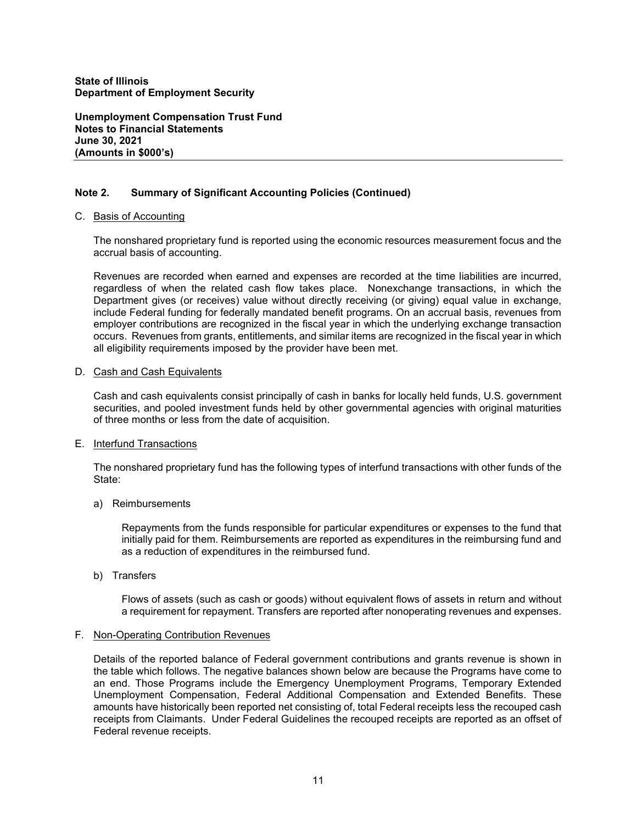**Unemployment Compensation Trust Fund Notes to Financial Statements June 30, 2021 (Amounts in \$000's)**

# **Note 2. Summary of Significant Accounting Policies (Continued)**

### C. Basis of Accounting

The nonshared proprietary fund is reported using the economic resources measurement focus and the accrual basis of accounting.

Revenues are recorded when earned and expenses are recorded at the time liabilities are incurred, regardless of when the related cash flow takes place. Nonexchange transactions, in which the Department gives (or receives) value without directly receiving (or giving) equal value in exchange, include Federal funding for federally mandated benefit programs. On an accrual basis, revenues from employer contributions are recognized in the fiscal year in which the underlying exchange transaction occurs. Revenues from grants, entitlements, and similar items are recognized in the fiscal year in which all eligibility requirements imposed by the provider have been met.

# D. Cash and Cash Equivalents

Cash and cash equivalents consist principally of cash in banks for locally held funds, U.S. government securities, and pooled investment funds held by other governmental agencies with original maturities of three months or less from the date of acquisition.

### E. Interfund Transactions

The nonshared proprietary fund has the following types of interfund transactions with other funds of the State:

### a) Reimbursements

Repayments from the funds responsible for particular expenditures or expenses to the fund that initially paid for them. Reimbursements are reported as expenditures in the reimbursing fund and as a reduction of expenditures in the reimbursed fund.

b) Transfers

Flows of assets (such as cash or goods) without equivalent flows of assets in return and without a requirement for repayment. Transfers are reported after nonoperating revenues and expenses.

### F. Non-Operating Contribution Revenues

Details of the reported balance of Federal government contributions and grants revenue is shown in the table which follows. The negative balances shown below are because the Programs have come to an end. Those Programs include the Emergency Unemployment Programs, Temporary Extended Unemployment Compensation, Federal Additional Compensation and Extended Benefits. These amounts have historically been reported net consisting of, total Federal receipts less the recouped cash receipts from Claimants. Under Federal Guidelines the recouped receipts are reported as an offset of Federal revenue receipts.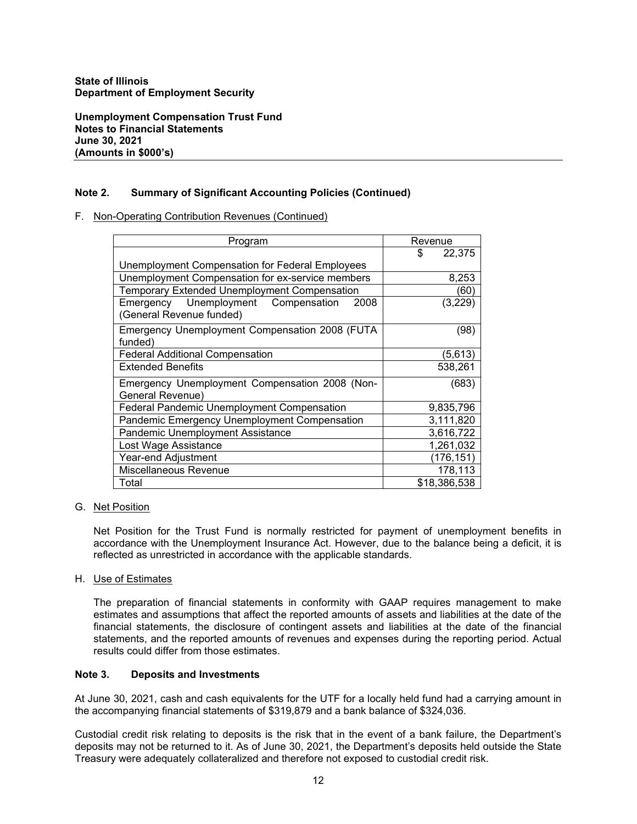**Unemployment Compensation Trust Fund Notes to Financial Statements June 30, 2021 (Amounts in \$000's)**

# **Note 2. Summary of Significant Accounting Policies (Continued)**

# F. Non-Operating Contribution Revenues (Continued)

| Program                                                                 | Revenue      |  |
|-------------------------------------------------------------------------|--------------|--|
|                                                                         | \$<br>22,375 |  |
| Unemployment Compensation for Federal Employees                         |              |  |
| Unemployment Compensation for ex-service members                        | 8,253        |  |
| <b>Temporary Extended Unemployment Compensation</b>                     | (60)         |  |
| Emergency Unemployment Compensation<br>2008<br>(General Revenue funded) | (3,229)      |  |
| Emergency Unemployment Compensation 2008 (FUTA<br>funded)               | (98)         |  |
| <b>Federal Additional Compensation</b>                                  | (5,613)      |  |
| <b>Extended Benefits</b>                                                | 538,261      |  |
| Emergency Unemployment Compensation 2008 (Non-<br>General Revenue)      | (683)        |  |
| <b>Federal Pandemic Unemployment Compensation</b>                       | 9,835,796    |  |
| Pandemic Emergency Unemployment Compensation                            | 3,111,820    |  |
| Pandemic Unemployment Assistance                                        | 3,616,722    |  |
| Lost Wage Assistance                                                    | 1,261,032    |  |
| Year-end Adjustment                                                     | (176, 151)   |  |
| Miscellaneous Revenue                                                   | 178,113      |  |
| Total                                                                   | \$18,386,538 |  |

### G. Net Position

Net Position for the Trust Fund is normally restricted for payment of unemployment benefits in accordance with the Unemployment Insurance Act. However, due to the balance being a deficit, it is reflected as unrestricted in accordance with the applicable standards.

## H. Use of Estimates

The preparation of financial statements in conformity with GAAP requires management to make estimates and assumptions that affect the reported amounts of assets and liabilities at the date of the financial statements, the disclosure of contingent assets and liabilities at the date of the financial statements, and the reported amounts of revenues and expenses during the reporting period. Actual results could differ from those estimates.

### **Note 3. Deposits and Investments**

At June 30, 2021, cash and cash equivalents for the UTF for a locally held fund had a carrying amount in the accompanying financial statements of \$319,879 and a bank balance of \$324,036.

Custodial credit risk relating to deposits is the risk that in the event of a bank failure, the Department's deposits may not be returned to it. As of June 30, 2021, the Department's deposits held outside the State Treasury were adequately collateralized and therefore not exposed to custodial credit risk.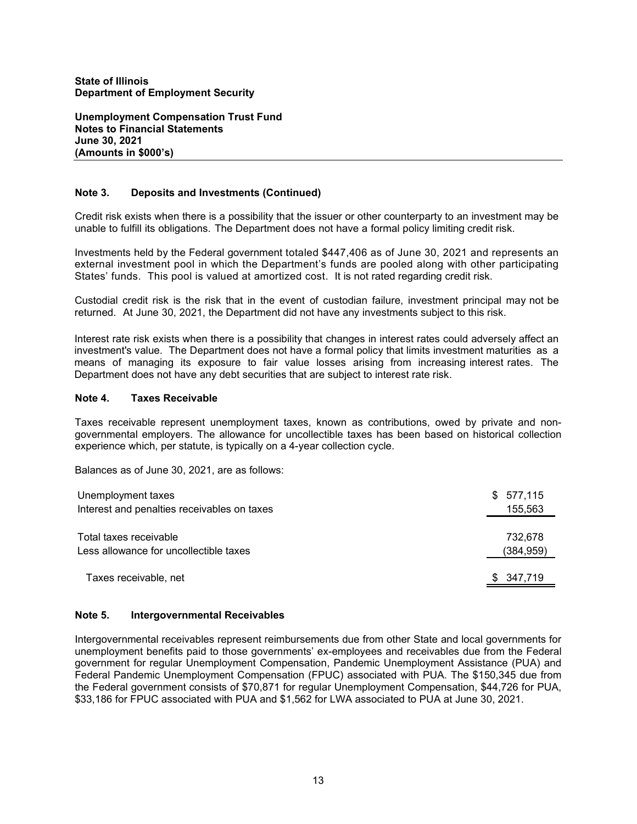**Unemployment Compensation Trust Fund Notes to Financial Statements June 30, 2021 (Amounts in \$000's)**

# **Note 3. Deposits and Investments (Continued)**

Credit risk exists when there is a possibility that the issuer or other counterparty to an investment may be unable to fulfill its obligations. The Department does not have a formal policy limiting credit risk.

Investments held by the Federal government totaled \$447,406 as of June 30, 2021 and represents an external investment pool in which the Department's funds are pooled along with other participating States' funds. This pool is valued at amortized cost. It is not rated regarding credit risk.

Custodial credit risk is the risk that in the event of custodian failure, investment principal may not be returned. At June 30, 2021, the Department did not have any investments subject to this risk.

Interest rate risk exists when there is a possibility that changes in interest rates could adversely affect an investment's value. The Department does not have a formal policy that limits investment maturities as a means of managing its exposure to fair value losses arising from increasing interest rates. The Department does not have any debt securities that are subject to interest rate risk.

# **Note 4. Taxes Receivable**

Taxes receivable represent unemployment taxes, known as contributions, owed by private and nongovernmental employers. The allowance for uncollectible taxes has been based on historical collection experience which, per statute, is typically on a 4-year collection cycle.

Balances as of June 30, 2021, are as follows:

| Unemployment taxes                          | \$577,115  |
|---------------------------------------------|------------|
| Interest and penalties receivables on taxes | 155,563    |
|                                             |            |
| Total taxes receivable                      | 732.678    |
| Less allowance for uncollectible taxes      | (384, 959) |
|                                             |            |
| Taxes receivable, net                       | \$347,719  |
|                                             |            |

### **Note 5. Intergovernmental Receivables**

Intergovernmental receivables represent reimbursements due from other State and local governments for unemployment benefits paid to those governments' ex-employees and receivables due from the Federal government for regular Unemployment Compensation, Pandemic Unemployment Assistance (PUA) and Federal Pandemic Unemployment Compensation (FPUC) associated with PUA. The \$150,345 due from the Federal government consists of \$70,871 for regular Unemployment Compensation, \$44,726 for PUA, \$33,186 for FPUC associated with PUA and \$1,562 for LWA associated to PUA at June 30, 2021.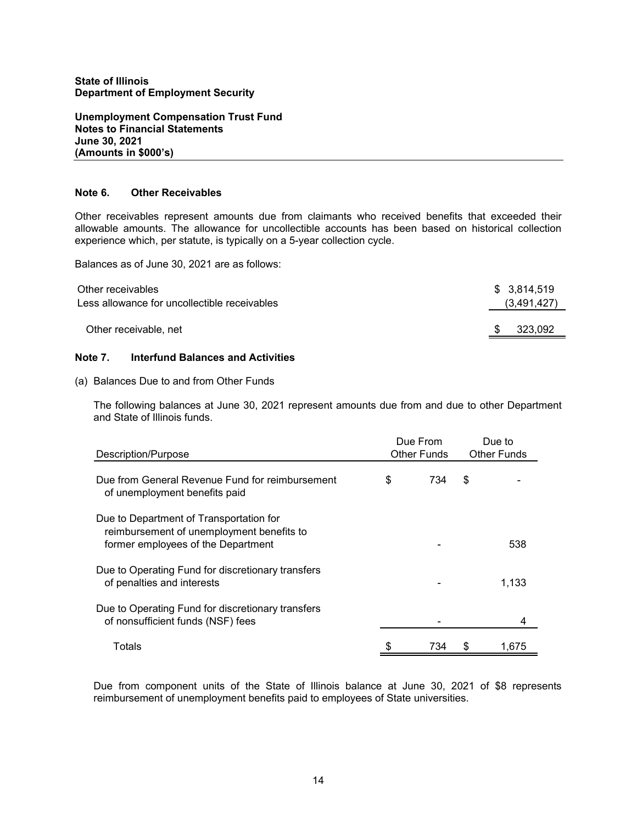**Unemployment Compensation Trust Fund Notes to Financial Statements June 30, 2021 (Amounts in \$000's)** 

### **Note 6. Other Receivables**

Other receivables represent amounts due from claimants who received benefits that exceeded their allowable amounts. The allowance for uncollectible accounts has been based on historical collection experience which, per statute, is typically on a 5-year collection cycle.

Balances as of June 30, 2021 are as follows:

| Other receivables<br>Less allowance for uncollectible receivables |     | \$3,814,519<br>(3,491,427) |  |
|-------------------------------------------------------------------|-----|----------------------------|--|
| Other receivable, net                                             | \$. | 323.092                    |  |

# **Note 7. Interfund Balances and Activities**

### (a) Balances Due to and from Other Funds

The following balances at June 30, 2021 represent amounts due from and due to other Department and State of Illinois funds.

| Description/Purpose                                                                                                        | Due From<br>Other Funds |    | Due to<br><b>Other Funds</b> |  |
|----------------------------------------------------------------------------------------------------------------------------|-------------------------|----|------------------------------|--|
| Due from General Revenue Fund for reimbursement<br>of unemployment benefits paid                                           | \$<br>734               | \$ |                              |  |
| Due to Department of Transportation for<br>reimbursement of unemployment benefits to<br>former employees of the Department |                         |    | 538                          |  |
| Due to Operating Fund for discretionary transfers<br>of penalties and interests                                            |                         |    | 1,133                        |  |
| Due to Operating Fund for discretionary transfers<br>of nonsufficient funds (NSF) fees                                     |                         |    | 4                            |  |
| Totals                                                                                                                     | 734                     | \$ | 1,675                        |  |

Due from component units of the State of Illinois balance at June 30, 2021 of \$8 represents reimbursement of unemployment benefits paid to employees of State universities.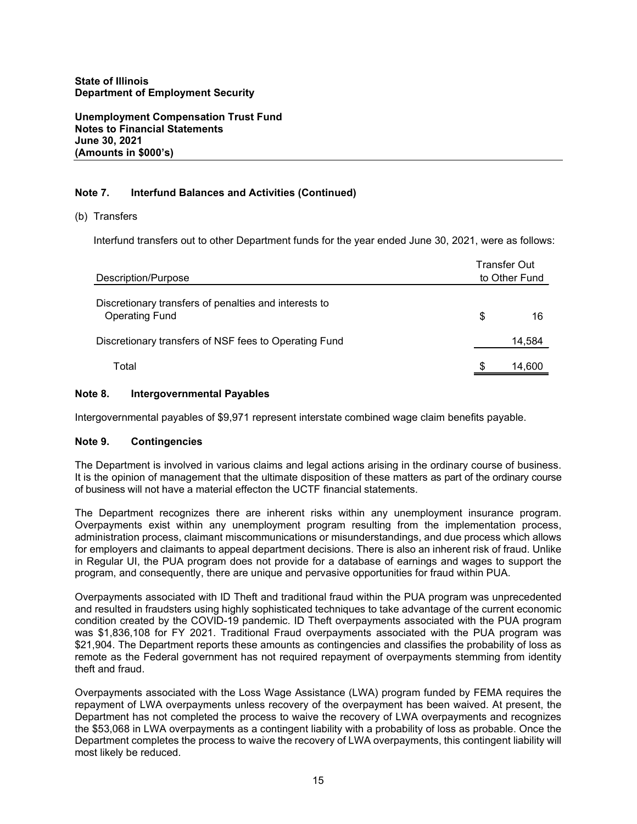**Unemployment Compensation Trust Fund Notes to Financial Statements June 30, 2021 (Amounts in \$000's)**

# **Note 7. Interfund Balances and Activities (Continued)**

# (b) Transfers

Interfund transfers out to other Department funds for the year ended June 30, 2021, were as follows:

| Description/Purpose                                                            | Transfer Out<br>to Other Fund |        |
|--------------------------------------------------------------------------------|-------------------------------|--------|
| Discretionary transfers of penalties and interests to<br><b>Operating Fund</b> | \$                            | 16     |
| Discretionary transfers of NSF fees to Operating Fund                          |                               | 14,584 |
| Total                                                                          |                               | 14,600 |

# **Note 8. Intergovernmental Payables**

Intergovernmental payables of \$9,971 represent interstate combined wage claim benefits payable.

### **Note 9. Contingencies**

The Department is involved in various claims and legal actions arising in the ordinary course of business. It is the opinion of management that the ultimate disposition of these matters as part of the ordinary course of business will not have a material effecton the UCTF financial statements.

The Department recognizes there are inherent risks within any unemployment insurance program. Overpayments exist within any unemployment program resulting from the implementation process, administration process, claimant miscommunications or misunderstandings, and due process which allows for employers and claimants to appeal department decisions. There is also an inherent risk of fraud. Unlike in Regular UI, the PUA program does not provide for a database of earnings and wages to support the program, and consequently, there are unique and pervasive opportunities for fraud within PUA.

Overpayments associated with ID Theft and traditional fraud within the PUA program was unprecedented and resulted in fraudsters using highly sophisticated techniques to take advantage of the current economic condition created by the COVID-19 pandemic. ID Theft overpayments associated with the PUA program was \$1,836,108 for FY 2021. Traditional Fraud overpayments associated with the PUA program was \$21,904. The Department reports these amounts as contingencies and classifies the probability of loss as remote as the Federal government has not required repayment of overpayments stemming from identity theft and fraud.

Overpayments associated with the Loss Wage Assistance (LWA) program funded by FEMA requires the repayment of LWA overpayments unless recovery of the overpayment has been waived. At present, the Department has not completed the process to waive the recovery of LWA overpayments and recognizes the \$53,068 in LWA overpayments as a contingent liability with a probability of loss as probable. Once the Department completes the process to waive the recovery of LWA overpayments, this contingent liability will most likely be reduced.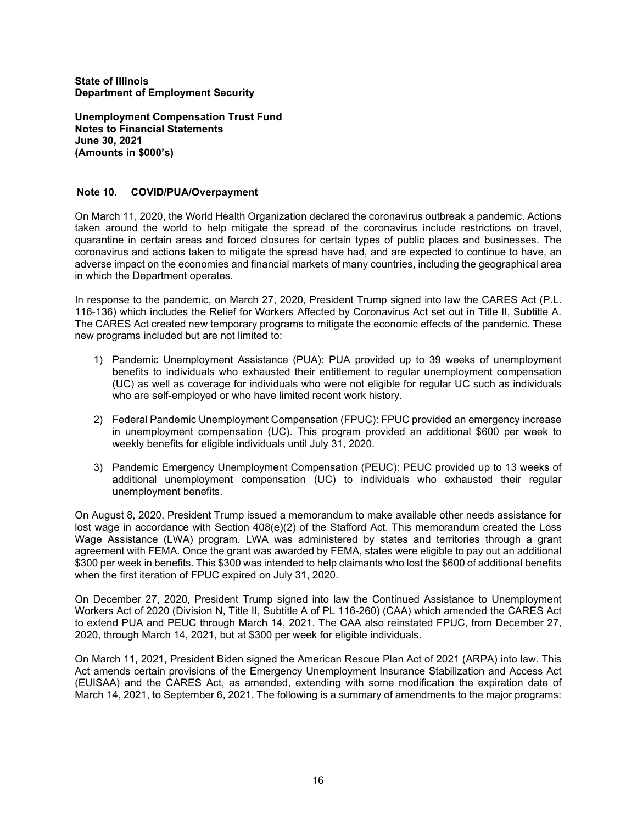**Unemployment Compensation Trust Fund Notes to Financial Statements June 30, 2021 (Amounts in \$000's)**

# **Note 10. COVID/PUA/Overpayment**

On March 11, 2020, the World Health Organization declared the coronavirus outbreak a pandemic. Actions taken around the world to help mitigate the spread of the coronavirus include restrictions on travel, quarantine in certain areas and forced closures for certain types of public places and businesses. The coronavirus and actions taken to mitigate the spread have had, and are expected to continue to have, an adverse impact on the economies and financial markets of many countries, including the geographical area in which the Department operates.

In response to the pandemic, on March 27, 2020, President Trump signed into law the CARES Act (P.L. 116-136) which includes the Relief for Workers Affected by Coronavirus Act set out in Title II, Subtitle A. The CARES Act created new temporary programs to mitigate the economic effects of the pandemic. These new programs included but are not limited to:

- 1) Pandemic Unemployment Assistance (PUA): PUA provided up to 39 weeks of unemployment benefits to individuals who exhausted their entitlement to regular unemployment compensation (UC) as well as coverage for individuals who were not eligible for regular UC such as individuals who are self-employed or who have limited recent work history.
- 2) Federal Pandemic Unemployment Compensation (FPUC): FPUC provided an emergency increase in unemployment compensation (UC). This program provided an additional \$600 per week to weekly benefits for eligible individuals until July 31, 2020.
- 3) Pandemic Emergency Unemployment Compensation (PEUC): PEUC provided up to 13 weeks of additional unemployment compensation (UC) to individuals who exhausted their regular unemployment benefits.

On August 8, 2020, President Trump issued a memorandum to make available other needs assistance for lost wage in accordance with Section 408(e)(2) of the Stafford Act. This memorandum created the Loss Wage Assistance (LWA) program. LWA was administered by states and territories through a grant agreement with FEMA. Once the grant was awarded by FEMA, states were eligible to pay out an additional \$300 per week in benefits. This \$300 was intended to help claimants who lost the \$600 of additional benefits when the first iteration of FPUC expired on July 31, 2020.

On December 27, 2020, President Trump signed into law the Continued Assistance to Unemployment Workers Act of 2020 (Division N, Title II, Subtitle A of PL 116-260) (CAA) which amended the CARES Act to extend PUA and PEUC through March 14, 2021. The CAA also reinstated FPUC, from December 27, 2020, through March 14, 2021, but at \$300 per week for eligible individuals.

On March 11, 2021, President Biden signed the American Rescue Plan Act of 2021 (ARPA) into law. This Act amends certain provisions of the Emergency Unemployment Insurance Stabilization and Access Act (EUISAA) and the CARES Act, as amended, extending with some modification the expiration date of March 14, 2021, to September 6, 2021. The following is a summary of amendments to the major programs: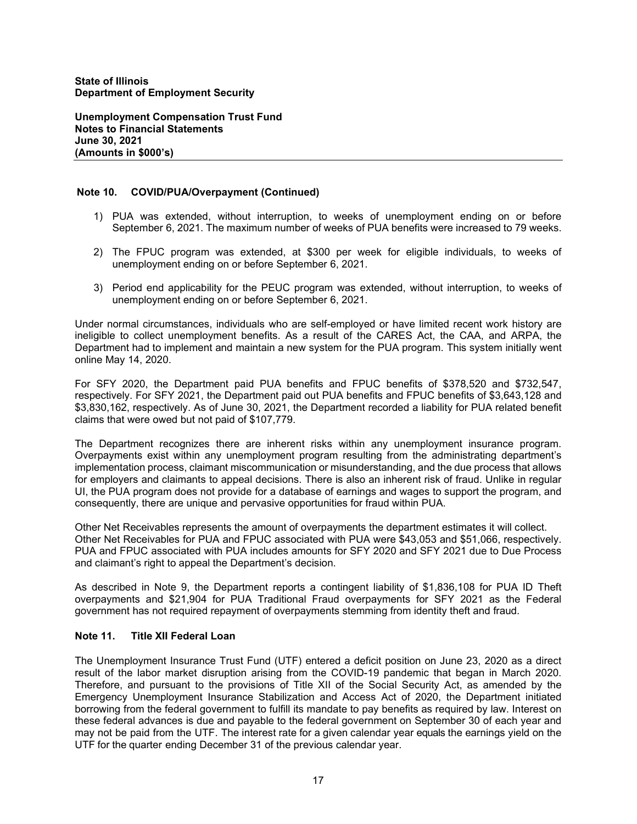**Unemployment Compensation Trust Fund Notes to Financial Statements June 30, 2021 (Amounts in \$000's)**

# **Note 10. COVID/PUA/Overpayment (Continued)**

- 1) PUA was extended, without interruption, to weeks of unemployment ending on or before September 6, 2021. The maximum number of weeks of PUA benefits were increased to 79 weeks.
- 2) The FPUC program was extended, at \$300 per week for eligible individuals, to weeks of unemployment ending on or before September 6, 2021.
- 3) Period end applicability for the PEUC program was extended, without interruption, to weeks of unemployment ending on or before September 6, 2021.

Under normal circumstances, individuals who are self-employed or have limited recent work history are ineligible to collect unemployment benefits. As a result of the CARES Act, the CAA, and ARPA, the Department had to implement and maintain a new system for the PUA program. This system initially went online May 14, 2020.

For SFY 2020, the Department paid PUA benefits and FPUC benefits of \$378,520 and \$732,547, respectively. For SFY 2021, the Department paid out PUA benefits and FPUC benefits of \$3,643,128 and \$3,830,162, respectively. As of June 30, 2021, the Department recorded a liability for PUA related benefit claims that were owed but not paid of \$107,779.

The Department recognizes there are inherent risks within any unemployment insurance program. Overpayments exist within any unemployment program resulting from the administrating department's implementation process, claimant miscommunication or misunderstanding, and the due process that allows for employers and claimants to appeal decisions. There is also an inherent risk of fraud. Unlike in regular UI, the PUA program does not provide for a database of earnings and wages to support the program, and consequently, there are unique and pervasive opportunities for fraud within PUA.

Other Net Receivables represents the amount of overpayments the department estimates it will collect. Other Net Receivables for PUA and FPUC associated with PUA were \$43,053 and \$51,066, respectively. PUA and FPUC associated with PUA includes amounts for SFY 2020 and SFY 2021 due to Due Process and claimant's right to appeal the Department's decision.

As described in Note 9, the Department reports a contingent liability of \$1,836,108 for PUA ID Theft overpayments and \$21,904 for PUA Traditional Fraud overpayments for SFY 2021 as the Federal government has not required repayment of overpayments stemming from identity theft and fraud.

## **Note 11. Title XII Federal Loan**

The Unemployment Insurance Trust Fund (UTF) entered a deficit position on June 23, 2020 as a direct result of the labor market disruption arising from the COVID-19 pandemic that began in March 2020. Therefore, and pursuant to the provisions of Title XII of the Social Security Act, as amended by the Emergency Unemployment Insurance Stabilization and Access Act of 2020, the Department initiated borrowing from the federal government to fulfill its mandate to pay benefits as required by law. Interest on these federal advances is due and payable to the federal government on September 30 of each year and may not be paid from the UTF. The interest rate for a given calendar year equals the earnings yield on the UTF for the quarter ending December 31 of the previous calendar year.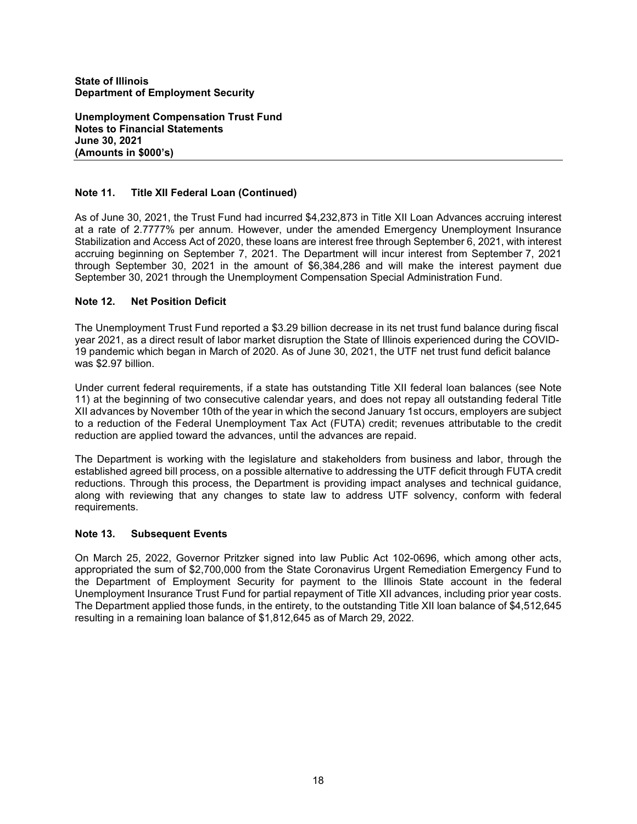**Unemployment Compensation Trust Fund Notes to Financial Statements June 30, 2021 (Amounts in \$000's)**

# **Note 11. Title XII Federal Loan (Continued)**

As of June 30, 2021, the Trust Fund had incurred \$4,232,873 in Title XII Loan Advances accruing interest at a rate of 2.7777% per annum. However, under the amended Emergency Unemployment Insurance Stabilization and Access Act of 2020, these loans are interest free through September 6, 2021, with interest accruing beginning on September 7, 2021. The Department will incur interest from September 7, 2021 through September 30, 2021 in the amount of \$6,384,286 and will make the interest payment due September 30, 2021 through the Unemployment Compensation Special Administration Fund.

# **Note 12. Net Position Deficit**

The Unemployment Trust Fund reported a \$3.29 billion decrease in its net trust fund balance during fiscal year 2021, as a direct result of labor market disruption the State of Illinois experienced during the COVID-19 pandemic which began in March of 2020. As of June 30, 2021, the UTF net trust fund deficit balance was \$2.97 billion.

Under current federal requirements, if a state has outstanding Title XII federal loan balances (see Note 11) at the beginning of two consecutive calendar years, and does not repay all outstanding federal Title XII advances by November 10th of the year in which the second January 1st occurs, employers are subject to a reduction of the Federal Unemployment Tax Act (FUTA) credit; revenues attributable to the credit reduction are applied toward the advances, until the advances are repaid.

The Department is working with the legislature and stakeholders from business and labor, through the established agreed bill process, on a possible alternative to addressing the UTF deficit through FUTA credit reductions. Through this process, the Department is providing impact analyses and technical guidance, along with reviewing that any changes to state law to address UTF solvency, conform with federal requirements.

# **Note 13. Subsequent Events**

On March 25, 2022, Governor Pritzker signed into law Public Act 102-0696, which among other acts, appropriated the sum of \$2,700,000 from the State Coronavirus Urgent Remediation Emergency Fund to the Department of Employment Security for payment to the Illinois State account in the federal Unemployment Insurance Trust Fund for partial repayment of Title XII advances, including prior year costs. The Department applied those funds, in the entirety, to the outstanding Title XII loan balance of \$4,512,645 resulting in a remaining loan balance of \$1,812,645 as of March 29, 2022.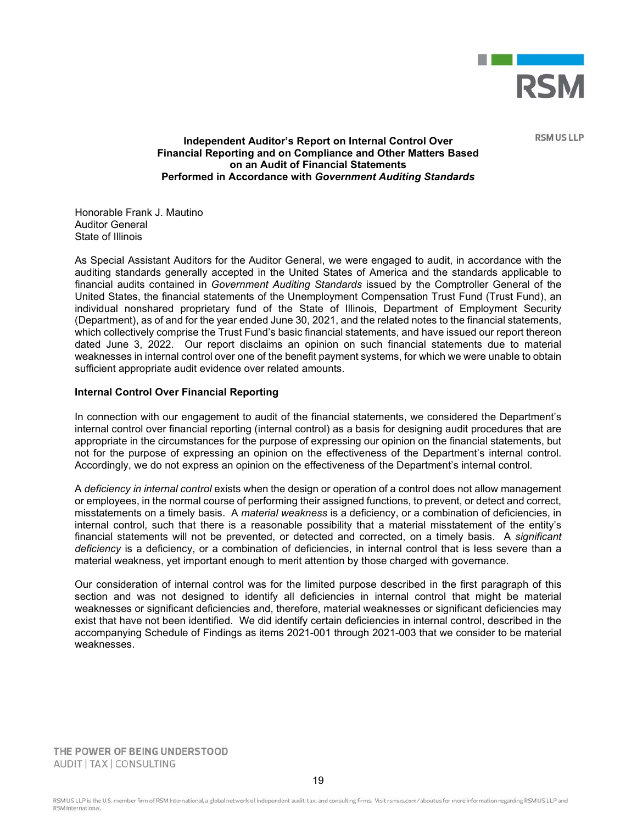

**RSM US LLP** 

## **Independent Auditor's Report on Internal Control Over Financial Reporting and on Compliance and Other Matters Based on an Audit of Financial Statements Performed in Accordance with** *Government Auditing Standards*

Honorable Frank J. Mautino Auditor General State of Illinois

As Special Assistant Auditors for the Auditor General, we were engaged to audit, in accordance with the auditing standards generally accepted in the United States of America and the standards applicable to financial audits contained in *Government Auditing Standards* issued by the Comptroller General of the United States, the financial statements of the Unemployment Compensation Trust Fund (Trust Fund), an individual nonshared proprietary fund of the State of Illinois, Department of Employment Security (Department), as of and for the year ended June 30, 2021, and the related notes to the financial statements, which collectively comprise the Trust Fund's basic financial statements, and have issued our report thereon dated June 3, 2022. Our report disclaims an opinion on such financial statements due to material weaknesses in internal control over one of the benefit payment systems, for which we were unable to obtain sufficient appropriate audit evidence over related amounts.

### **Internal Control Over Financial Reporting**

In connection with our engagement to audit of the financial statements, we considered the Department's internal control over financial reporting (internal control) as a basis for designing audit procedures that are appropriate in the circumstances for the purpose of expressing our opinion on the financial statements, but not for the purpose of expressing an opinion on the effectiveness of the Department's internal control. Accordingly, we do not express an opinion on the effectiveness of the Department's internal control.

A *deficiency in internal control* exists when the design or operation of a control does not allow management or employees, in the normal course of performing their assigned functions, to prevent, or detect and correct, misstatements on a timely basis. A *material weakness* is a deficiency, or a combination of deficiencies, in internal control, such that there is a reasonable possibility that a material misstatement of the entity's financial statements will not be prevented, or detected and corrected, on a timely basis. A *significant deficiency* is a deficiency, or a combination of deficiencies, in internal control that is less severe than a material weakness, yet important enough to merit attention by those charged with governance.

Our consideration of internal control was for the limited purpose described in the first paragraph of this section and was not designed to identify all deficiencies in internal control that might be material weaknesses or significant deficiencies and, therefore, material weaknesses or significant deficiencies may exist that have not been identified. We did identify certain deficiencies in internal control, described in the accompanying Schedule of Findings as items 2021-001 through 2021-003 that we consider to be material weaknesses.

THE POWER OF BEING UNDERSTOOD AUDIT | TAX | CONSULTING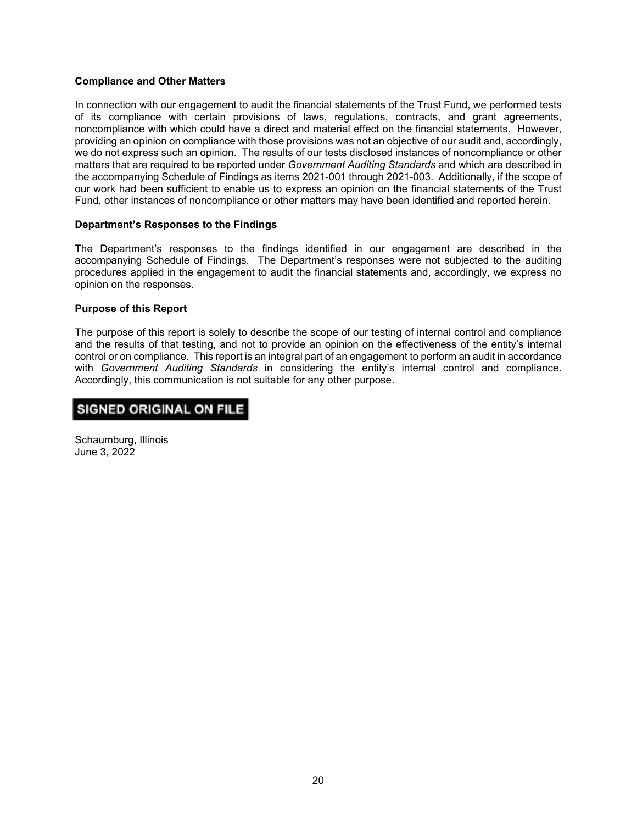## **Compliance and Other Matters**

In connection with our engagement to audit the financial statements of the Trust Fund, we performed tests of its compliance with certain provisions of laws, regulations, contracts, and grant agreements, noncompliance with which could have a direct and material effect on the financial statements. However, providing an opinion on compliance with those provisions was not an objective of our audit and, accordingly, we do not express such an opinion. The results of our tests disclosed instances of noncompliance or other matters that are required to be reported under *Government Auditing Standards* and which are described in the accompanying Schedule of Findings as items 2021-001 through 2021-003. Additionally, if the scope of our work had been sufficient to enable us to express an opinion on the financial statements of the Trust Fund, other instances of noncompliance or other matters may have been identified and reported herein.

### **Department's Responses to the Findings**

The Department's responses to the findings identified in our engagement are described in the accompanying Schedule of Findings. The Department's responses were not subjected to the auditing procedures applied in the engagement to audit the financial statements and, accordingly, we express no opinion on the responses.

# **Purpose of this Report**

The purpose of this report is solely to describe the scope of our testing of internal control and compliance and the results of that testing, and not to provide an opinion on the effectiveness of the entity's internal control or on compliance. This report is an integral part of an engagement to perform an audit in accordance with *Government Auditing Standards* in considering the entity's internal control and compliance. Accordingly, this communication is not suitable for any other purpose.

# **SIGNED ORIGINAL ON FILE**

Schaumburg, Illinois June 3, 2022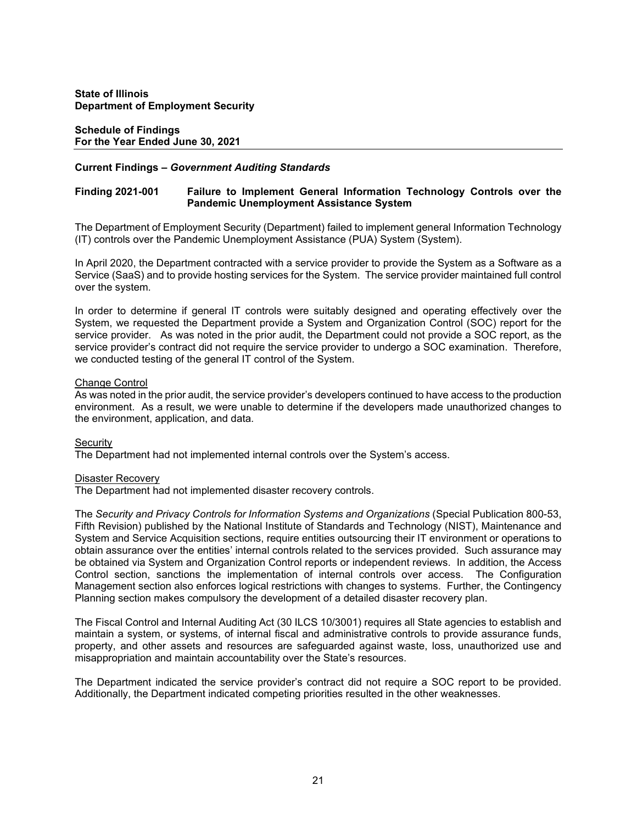**Schedule of Findings For the Year Ended June 30, 2021**

#### **Current Findings –** *Government Auditing Standards*

#### **Finding 2021-001 Failure to Implement General Information Technology Controls over the Pandemic Unemployment Assistance System**

The Department of Employment Security (Department) failed to implement general Information Technology (IT) controls over the Pandemic Unemployment Assistance (PUA) System (System).

In April 2020, the Department contracted with a service provider to provide the System as a Software as a Service (SaaS) and to provide hosting services for the System. The service provider maintained full control over the system.

In order to determine if general IT controls were suitably designed and operating effectively over the System, we requested the Department provide a System and Organization Control (SOC) report for the service provider. As was noted in the prior audit, the Department could not provide a SOC report, as the service provider's contract did not require the service provider to undergo a SOC examination. Therefore, we conducted testing of the general IT control of the System.

#### Change Control

As was noted in the prior audit, the service provider's developers continued to have access to the production environment. As a result, we were unable to determine if the developers made unauthorized changes to the environment, application, and data.

#### **Security**

The Department had not implemented internal controls over the System's access.

#### Disaster Recovery

The Department had not implemented disaster recovery controls.

The *Security and Privacy Controls for Information Systems and Organizations* (Special Publication 800-53, Fifth Revision) published by the National Institute of Standards and Technology (NIST), Maintenance and System and Service Acquisition sections, require entities outsourcing their IT environment or operations to obtain assurance over the entities' internal controls related to the services provided. Such assurance may be obtained via System and Organization Control reports or independent reviews. In addition, the Access Control section, sanctions the implementation of internal controls over access. The Configuration Management section also enforces logical restrictions with changes to systems. Further, the Contingency Planning section makes compulsory the development of a detailed disaster recovery plan.

The Fiscal Control and Internal Auditing Act (30 ILCS 10/3001) requires all State agencies to establish and maintain a system, or systems, of internal fiscal and administrative controls to provide assurance funds, property, and other assets and resources are safeguarded against waste, loss, unauthorized use and misappropriation and maintain accountability over the State's resources.

The Department indicated the service provider's contract did not require a SOC report to be provided. Additionally, the Department indicated competing priorities resulted in the other weaknesses.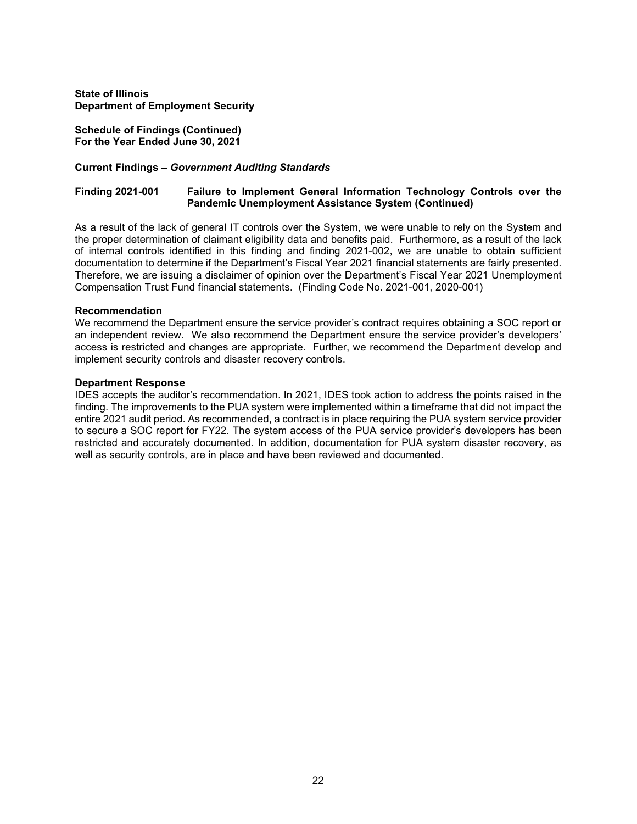**Schedule of Findings (Continued) For the Year Ended June 30, 2021**

#### **Current Findings –** *Government Auditing Standards*

#### **Finding 2021-001 Failure to Implement General Information Technology Controls over the Pandemic Unemployment Assistance System (Continued)**

As a result of the lack of general IT controls over the System, we were unable to rely on the System and the proper determination of claimant eligibility data and benefits paid. Furthermore, as a result of the lack of internal controls identified in this finding and finding 2021-002, we are unable to obtain sufficient documentation to determine if the Department's Fiscal Year 2021 financial statements are fairly presented. Therefore, we are issuing a disclaimer of opinion over the Department's Fiscal Year 2021 Unemployment Compensation Trust Fund financial statements. (Finding Code No. 2021-001, 2020-001)

#### **Recommendation**

We recommend the Department ensure the service provider's contract requires obtaining a SOC report or an independent review. We also recommend the Department ensure the service provider's developers' access is restricted and changes are appropriate. Further, we recommend the Department develop and implement security controls and disaster recovery controls.

#### **Department Response**

IDES accepts the auditor's recommendation. In 2021, IDES took action to address the points raised in the finding. The improvements to the PUA system were implemented within a timeframe that did not impact the entire 2021 audit period. As recommended, a contract is in place requiring the PUA system service provider to secure a SOC report for FY22. The system access of the PUA service provider's developers has been restricted and accurately documented. In addition, documentation for PUA system disaster recovery, as well as security controls, are in place and have been reviewed and documented.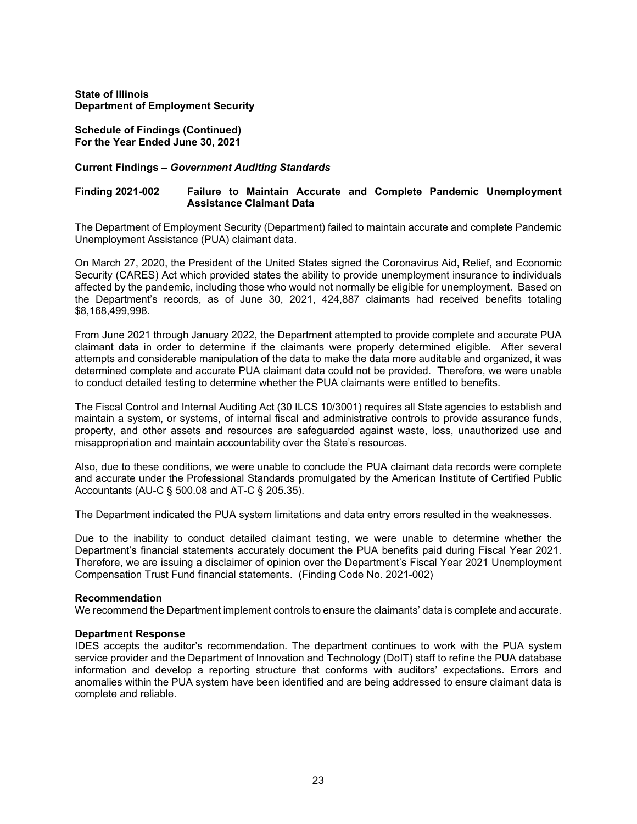**Schedule of Findings (Continued) For the Year Ended June 30, 2021** 

#### **Current Findings –** *Government Auditing Standards*

## **Finding 2021-002 Failure to Maintain Accurate and Complete Pandemic Unemployment Assistance Claimant Data**

The Department of Employment Security (Department) failed to maintain accurate and complete Pandemic Unemployment Assistance (PUA) claimant data.

On March 27, 2020, the President of the United States signed the Coronavirus Aid, Relief, and Economic Security (CARES) Act which provided states the ability to provide unemployment insurance to individuals affected by the pandemic, including those who would not normally be eligible for unemployment. Based on the Department's records, as of June 30, 2021, 424,887 claimants had received benefits totaling \$8,168,499,998.

From June 2021 through January 2022, the Department attempted to provide complete and accurate PUA claimant data in order to determine if the claimants were properly determined eligible. After several attempts and considerable manipulation of the data to make the data more auditable and organized, it was determined complete and accurate PUA claimant data could not be provided. Therefore, we were unable to conduct detailed testing to determine whether the PUA claimants were entitled to benefits.

The Fiscal Control and Internal Auditing Act (30 ILCS 10/3001) requires all State agencies to establish and maintain a system, or systems, of internal fiscal and administrative controls to provide assurance funds, property, and other assets and resources are safeguarded against waste, loss, unauthorized use and misappropriation and maintain accountability over the State's resources.

Also, due to these conditions, we were unable to conclude the PUA claimant data records were complete and accurate under the Professional Standards promulgated by the American Institute of Certified Public Accountants (AU-C § 500.08 and AT-C § 205.35).

The Department indicated the PUA system limitations and data entry errors resulted in the weaknesses.

Due to the inability to conduct detailed claimant testing, we were unable to determine whether the Department's financial statements accurately document the PUA benefits paid during Fiscal Year 2021. Therefore, we are issuing a disclaimer of opinion over the Department's Fiscal Year 2021 Unemployment Compensation Trust Fund financial statements. (Finding Code No. 2021-002)

#### **Recommendation**

We recommend the Department implement controls to ensure the claimants' data is complete and accurate.

#### **Department Response**

IDES accepts the auditor's recommendation. The department continues to work with the PUA system service provider and the Department of Innovation and Technology (DoIT) staff to refine the PUA database information and develop a reporting structure that conforms with auditors' expectations. Errors and anomalies within the PUA system have been identified and are being addressed to ensure claimant data is complete and reliable.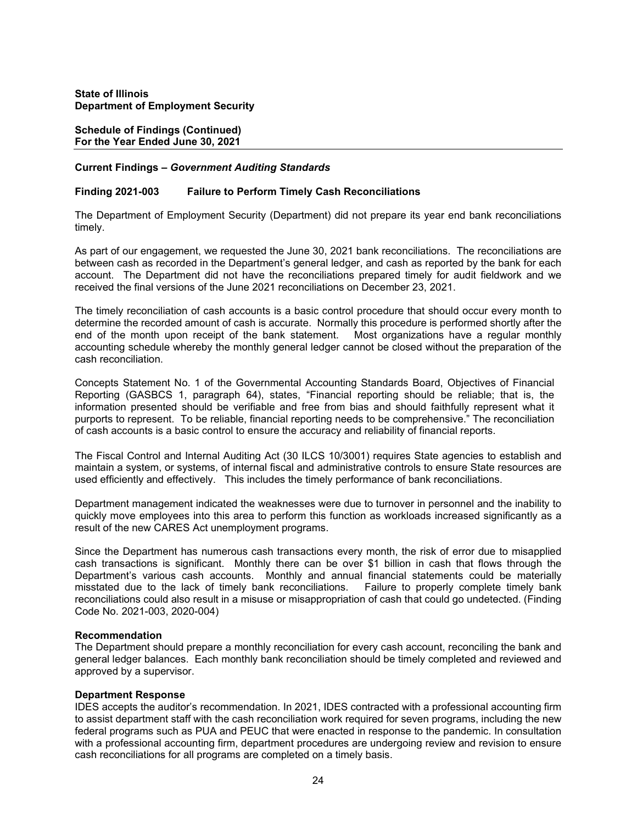**Schedule of Findings (Continued) For the Year Ended June 30, 2021**

#### **Current Findings –** *Government Auditing Standards*

#### **Finding 2021-003 Failure to Perform Timely Cash Reconciliations**

The Department of Employment Security (Department) did not prepare its year end bank reconciliations timely.

As part of our engagement, we requested the June 30, 2021 bank reconciliations. The reconciliations are between cash as recorded in the Department's general ledger, and cash as reported by the bank for each account. The Department did not have the reconciliations prepared timely for audit fieldwork and we received the final versions of the June 2021 reconciliations on December 23, 2021.

The timely reconciliation of cash accounts is a basic control procedure that should occur every month to determine the recorded amount of cash is accurate. Normally this procedure is performed shortly after the end of the month upon receipt of the bank statement. Most organizations have a regular monthly accounting schedule whereby the monthly general ledger cannot be closed without the preparation of the cash reconciliation.

Concepts Statement No. 1 of the Governmental Accounting Standards Board, Objectives of Financial Reporting (GASBCS 1, paragraph 64), states, "Financial reporting should be reliable; that is, the information presented should be verifiable and free from bias and should faithfully represent what it purports to represent. To be reliable, financial reporting needs to be comprehensive." The reconciliation of cash accounts is a basic control to ensure the accuracy and reliability of financial reports.

The Fiscal Control and Internal Auditing Act (30 ILCS 10/3001) requires State agencies to establish and maintain a system, or systems, of internal fiscal and administrative controls to ensure State resources are used efficiently and effectively. This includes the timely performance of bank reconciliations.

Department management indicated the weaknesses were due to turnover in personnel and the inability to quickly move employees into this area to perform this function as workloads increased significantly as a result of the new CARES Act unemployment programs.

Since the Department has numerous cash transactions every month, the risk of error due to misapplied cash transactions is significant. Monthly there can be over \$1 billion in cash that flows through the Department's various cash accounts. Monthly and annual financial statements could be materially misstated due to the lack of timely bank reconciliations. Failure to properly complete timely bank reconciliations could also result in a misuse or misappropriation of cash that could go undetected. (Finding Code No. 2021-003, 2020-004)

#### **Recommendation**

The Department should prepare a monthly reconciliation for every cash account, reconciling the bank and general ledger balances. Each monthly bank reconciliation should be timely completed and reviewed and approved by a supervisor.

### **Department Response**

IDES accepts the auditor's recommendation. In 2021, IDES contracted with a professional accounting firm to assist department staff with the cash reconciliation work required for seven programs, including the new federal programs such as PUA and PEUC that were enacted in response to the pandemic. In consultation with a professional accounting firm, department procedures are undergoing review and revision to ensure cash reconciliations for all programs are completed on a timely basis.